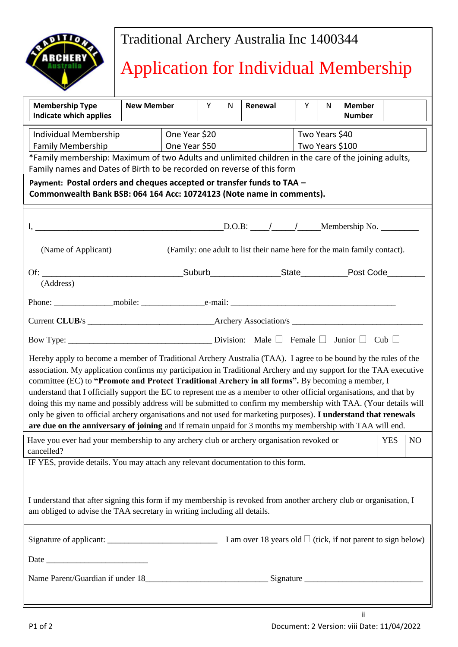

## Traditional Archery Australia Inc 1400344

# Application for Individual Membership

| <b>Membership Type</b><br>Indicate which applies                                                                                                                                                                                                                                                                                                                                                                                                                                                                                                                                                                                                                                                                                                                                                                     | <b>New Member</b> | Y | ${\sf N}$       | Renewal        | Y | N | <b>Member</b><br><b>Number</b> |  |  |
|----------------------------------------------------------------------------------------------------------------------------------------------------------------------------------------------------------------------------------------------------------------------------------------------------------------------------------------------------------------------------------------------------------------------------------------------------------------------------------------------------------------------------------------------------------------------------------------------------------------------------------------------------------------------------------------------------------------------------------------------------------------------------------------------------------------------|-------------------|---|-----------------|----------------|---|---|--------------------------------|--|--|
| Individual Membership                                                                                                                                                                                                                                                                                                                                                                                                                                                                                                                                                                                                                                                                                                                                                                                                | One Year \$20     |   |                 | Two Years \$40 |   |   |                                |  |  |
| <b>Family Membership</b>                                                                                                                                                                                                                                                                                                                                                                                                                                                                                                                                                                                                                                                                                                                                                                                             | One Year \$50     |   | Two Years \$100 |                |   |   |                                |  |  |
| *Family membership: Maximum of two Adults and unlimited children in the care of the joining adults,                                                                                                                                                                                                                                                                                                                                                                                                                                                                                                                                                                                                                                                                                                                  |                   |   |                 |                |   |   |                                |  |  |
| Family names and Dates of Birth to be recorded on reverse of this form                                                                                                                                                                                                                                                                                                                                                                                                                                                                                                                                                                                                                                                                                                                                               |                   |   |                 |                |   |   |                                |  |  |
| Payment: Postal orders and cheques accepted or transfer funds to TAA -<br>Commonwealth Bank BSB: 064 164 Acc: 10724123 (Note name in comments).                                                                                                                                                                                                                                                                                                                                                                                                                                                                                                                                                                                                                                                                      |                   |   |                 |                |   |   |                                |  |  |
|                                                                                                                                                                                                                                                                                                                                                                                                                                                                                                                                                                                                                                                                                                                                                                                                                      |                   |   |                 |                |   |   |                                |  |  |
| (Family: one adult to list their name here for the main family contact).<br>(Name of Applicant)                                                                                                                                                                                                                                                                                                                                                                                                                                                                                                                                                                                                                                                                                                                      |                   |   |                 |                |   |   |                                |  |  |
| (Address)                                                                                                                                                                                                                                                                                                                                                                                                                                                                                                                                                                                                                                                                                                                                                                                                            |                   |   |                 |                |   |   |                                |  |  |
|                                                                                                                                                                                                                                                                                                                                                                                                                                                                                                                                                                                                                                                                                                                                                                                                                      |                   |   |                 |                |   |   |                                |  |  |
|                                                                                                                                                                                                                                                                                                                                                                                                                                                                                                                                                                                                                                                                                                                                                                                                                      |                   |   |                 |                |   |   |                                |  |  |
|                                                                                                                                                                                                                                                                                                                                                                                                                                                                                                                                                                                                                                                                                                                                                                                                                      |                   |   |                 |                |   |   |                                |  |  |
| Hereby apply to become a member of Traditional Archery Australia (TAA). I agree to be bound by the rules of the<br>association. My application confirms my participation in Traditional Archery and my support for the TAA executive<br>committee (EC) to "Promote and Protect Traditional Archery in all forms". By becoming a member, I<br>understand that I officially support the EC to represent me as a member to other official organisations, and that by<br>doing this my name and possibly address will be submitted to confirm my membership with TAA. (Your details will<br>only be given to official archery organisations and not used for marketing purposes). I understand that renewals<br>are due on the anniversary of joining and if remain unpaid for 3 months my membership with TAA will end. |                   |   |                 |                |   |   |                                |  |  |
| Have you ever had your membership to any archery club or archery organisation revoked or<br><b>YES</b><br>N <sub>O</sub><br>cancelled?                                                                                                                                                                                                                                                                                                                                                                                                                                                                                                                                                                                                                                                                               |                   |   |                 |                |   |   |                                |  |  |
| IF YES, provide details. You may attach any relevant documentation to this form.<br>I understand that after signing this form if my membership is revoked from another archery club or organisation, I                                                                                                                                                                                                                                                                                                                                                                                                                                                                                                                                                                                                               |                   |   |                 |                |   |   |                                |  |  |
| am obliged to advise the TAA secretary in writing including all details.                                                                                                                                                                                                                                                                                                                                                                                                                                                                                                                                                                                                                                                                                                                                             |                   |   |                 |                |   |   |                                |  |  |
| Signature of applicant: $\frac{1}{2}$ $\frac{1}{2}$ $\frac{1}{2}$ $\frac{1}{2}$ $\frac{1}{2}$ $\frac{1}{2}$ $\frac{1}{2}$ $\frac{1}{2}$ $\frac{1}{2}$ $\frac{1}{2}$ $\frac{1}{2}$ $\frac{1}{2}$ $\frac{1}{2}$ $\frac{1}{2}$ $\frac{1}{2}$ $\frac{1}{2}$ $\frac{1}{2}$ $\frac{1}{2}$ $\frac{1}{2}$ $\frac{1}{2$                                                                                                                                                                                                                                                                                                                                                                                                                                                                                                       |                   |   |                 |                |   |   |                                |  |  |
| Date                                                                                                                                                                                                                                                                                                                                                                                                                                                                                                                                                                                                                                                                                                                                                                                                                 |                   |   |                 |                |   |   |                                |  |  |
|                                                                                                                                                                                                                                                                                                                                                                                                                                                                                                                                                                                                                                                                                                                                                                                                                      |                   |   |                 |                |   |   |                                |  |  |
|                                                                                                                                                                                                                                                                                                                                                                                                                                                                                                                                                                                                                                                                                                                                                                                                                      |                   |   |                 |                |   |   |                                |  |  |